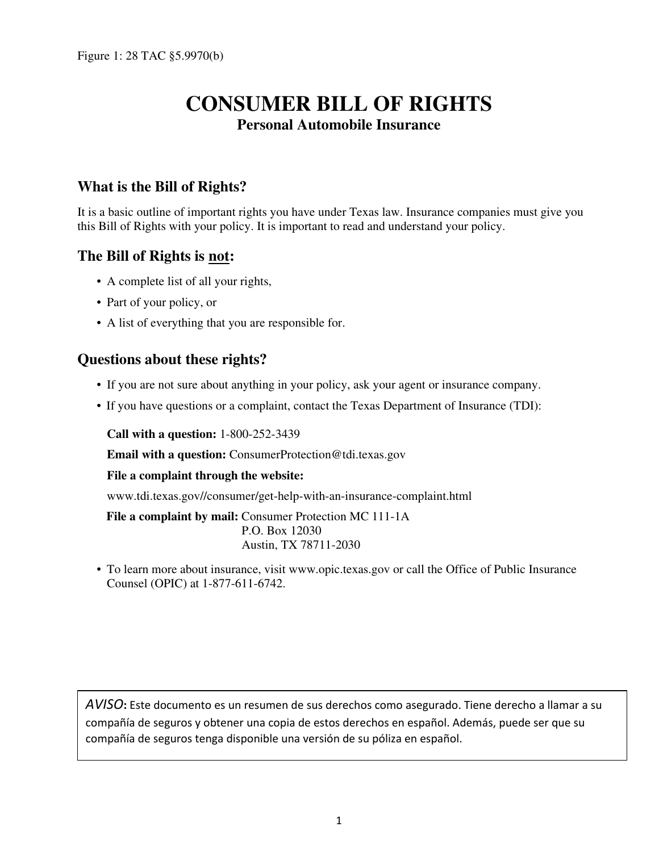# **CONSUMER BILL OF RIGHTS Personal Automobile Insurance**

# **What is the Bill of Rights?**

It is a basic outline of important rights you have under Texas law. Insurance companies must give you this Bill of Rights with your policy. It is important to read and understand your policy.

# **The Bill of Rights is not:**

- A complete list of all your rights,
- Part of your policy, or
- A list of everything that you are responsible for.

#### **Questions about these rights?**

- If you are not sure about anything in your policy, ask your agent or insurance company.
- If you have questions or a complaint, contact the Texas Department of Insurance (TDI):

**Call with a question:** 1-800-252-3439

**Email with a question:** ConsumerProtection@tdi.texas.gov

**File a complaint through the website:**

www.tdi.texas.gov//consumer/get-help-with-an-insurance-complaint.html

File a complaint by mail: Consumer Protection MC 111-1A P.O. Box 12030 Austin, TX 78711-2030

• To learn more about insurance, visit www.opic.texas.gov or call the Office of Public Insurance Counsel (OPIC) at 1-877-611-6742.

*AVISO***:** Este documento es un resumen de sus derechos como asegurado. Tiene derecho a llamar a su compañía de seguros y obtener una copia de estos derechos en español. Además, puede ser que su compañía de seguros tenga disponible una versión de su póliza en español.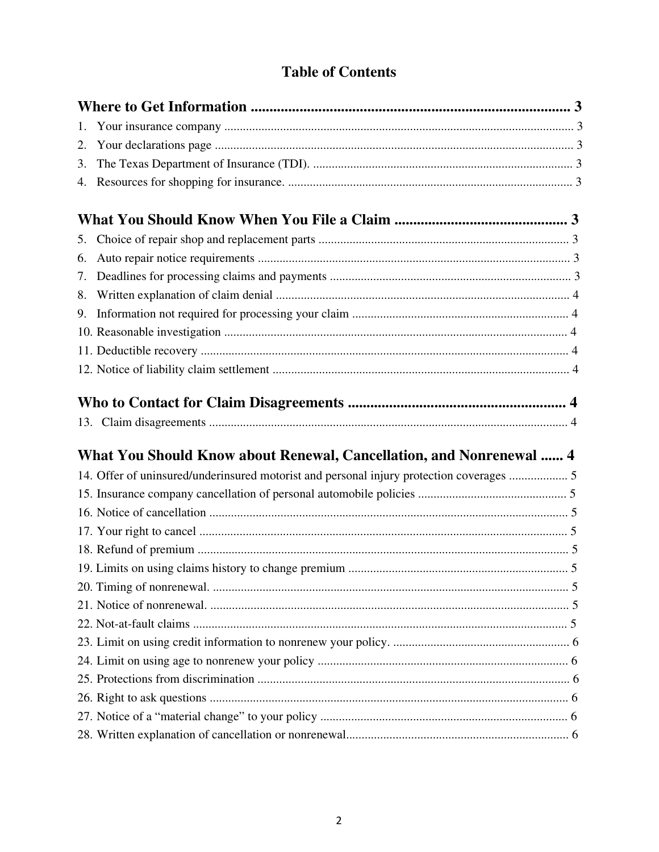# **Table of Contents**

| What You Should Know about Renewal, Cancellation, and Nonrenewal  4<br>14. Offer of uninsured/underinsured motorist and personal injury protection coverages  5 |    |  |
|-----------------------------------------------------------------------------------------------------------------------------------------------------------------|----|--|
|                                                                                                                                                                 | 1. |  |
|                                                                                                                                                                 | 2. |  |
|                                                                                                                                                                 | 3. |  |
|                                                                                                                                                                 |    |  |
|                                                                                                                                                                 |    |  |
|                                                                                                                                                                 | 5. |  |
|                                                                                                                                                                 | 6. |  |
|                                                                                                                                                                 | 7. |  |
|                                                                                                                                                                 | 8. |  |
|                                                                                                                                                                 | 9. |  |
|                                                                                                                                                                 |    |  |
|                                                                                                                                                                 |    |  |
|                                                                                                                                                                 |    |  |
|                                                                                                                                                                 |    |  |
|                                                                                                                                                                 |    |  |
|                                                                                                                                                                 |    |  |
|                                                                                                                                                                 |    |  |
|                                                                                                                                                                 |    |  |
|                                                                                                                                                                 |    |  |
|                                                                                                                                                                 |    |  |
|                                                                                                                                                                 |    |  |
|                                                                                                                                                                 |    |  |
|                                                                                                                                                                 |    |  |
|                                                                                                                                                                 |    |  |
|                                                                                                                                                                 |    |  |
|                                                                                                                                                                 |    |  |
|                                                                                                                                                                 |    |  |
|                                                                                                                                                                 |    |  |
|                                                                                                                                                                 |    |  |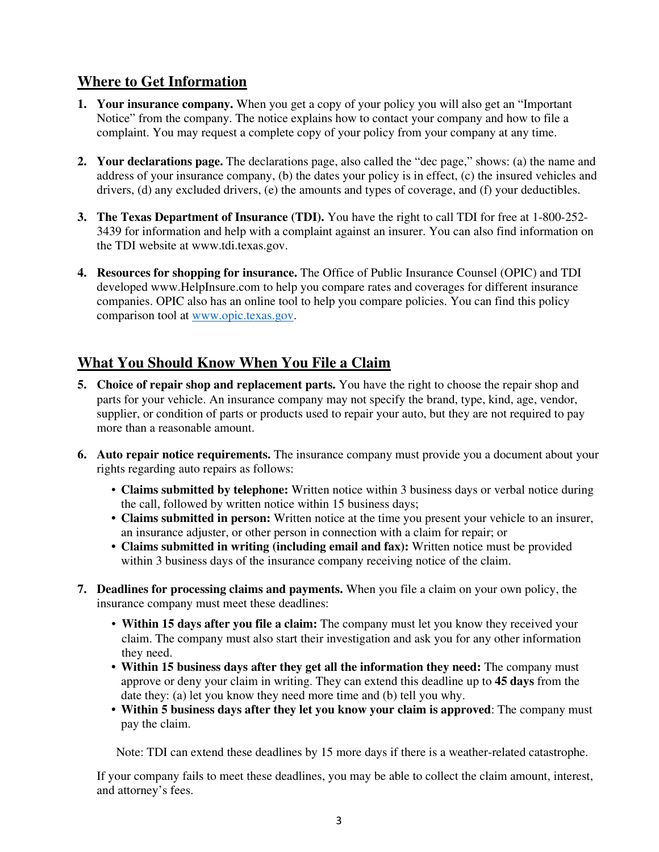# **Where to Get Information**

- **1. Your insurance company.** When you get a copy of your policy you will also get an "Important Notice" from the company. The notice explains how to contact your company and how to file a complaint. You may request a complete copy of your policy from your company at any time.
- **2. Your declarations page.** The declarations page, also called the "dec page," shows: (a) the name and address of your insurance company, (b) the dates your policy is in effect, (c) the insured vehicles and drivers, (d) any excluded drivers, (e) the amounts and types of coverage, and (f) your deductibles.
- **3. The Texas Department of Insurance (TDI).** You have the right to call TDI for free at 1-800-252- 3439 for information and help with a complaint against an insurer. You can also find information on the TDI website at www.tdi.texas.gov.
- **4. Resources for shopping for insurance.** The Office of Public Insurance Counsel (OPIC) and TDI developed www.HelpInsure.com to help you compare rates and coverages for different insurance companies. OPIC also has an online tool to help you compare policies. You can find this policy comparison tool at www.opic.texas.gov.

# **What You Should Know When You File a Claim**

- **5. Choice of repair shop and replacement parts.** You have the right to choose the repair shop and parts for your vehicle. An insurance company may not specify the brand, type, kind, age, vendor, supplier, or condition of parts or products used to repair your auto, but they are not required to pay more than a reasonable amount.
- **6. Auto repair notice requirements.** The insurance company must provide you a document about your rights regarding auto repairs as follows:
	- **Claims submitted by telephone:** Written notice within 3 business days or verbal notice during the call, followed by written notice within 15 business days;
	- **Claims submitted in person:** Written notice at the time you present your vehicle to an insurer, an insurance adjuster, or other person in connection with a claim for repair; or
	- **Claims submitted in writing (including email and fax):** Written notice must be provided within 3 business days of the insurance company receiving notice of the claim.
- **7. Deadlines for processing claims and payments.** When you file a claim on your own policy, the insurance company must meet these deadlines:
	- **Within 15 days after you file a claim:** The company must let you know they received your claim. The company must also start their investigation and ask you for any other information they need.
	- **Within 15 business days after they get all the information they need:** The company must approve or deny your claim in writing. They can extend this deadline up to **45 days** from the date they: (a) let you know they need more time and (b) tell you why.
	- **Within 5 business days after they let you know your claim is approved**: The company must pay the claim.

Note: TDI can extend these deadlines by 15 more days if there is a weather-related catastrophe.

If your company fails to meet these deadlines, you may be able to collect the claim amount, interest, and attorney's fees.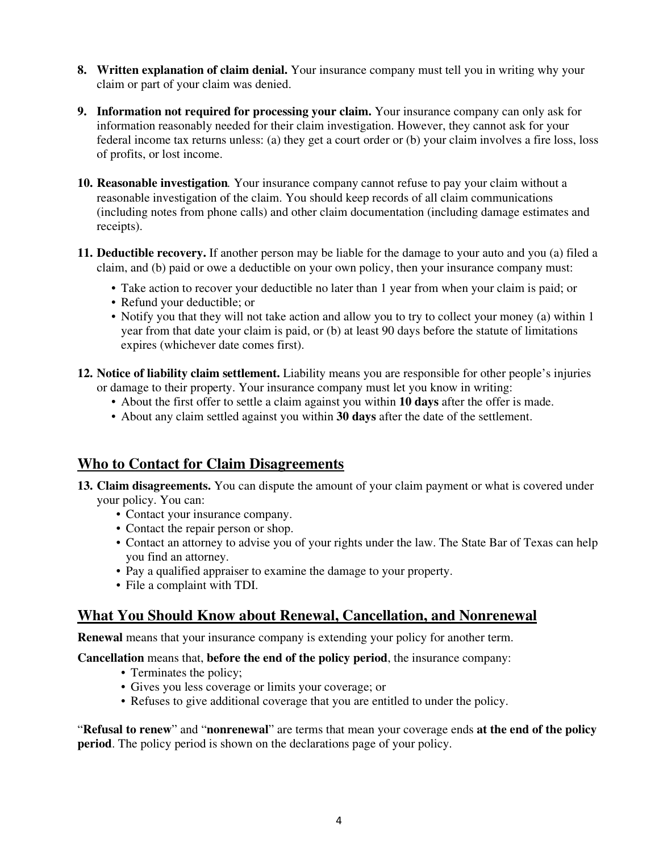- **8. Written explanation of claim denial.** Your insurance company must tell you in writing why your claim or part of your claim was denied.
- **9. Information not required for processing your claim.** Your insurance company can only ask for information reasonably needed for their claim investigation. However, they cannot ask for your federal income tax returns unless: (a) they get a court order or (b) your claim involves a fire loss, loss of profits, or lost income.
- **10. Reasonable investigation**. Your insurance company cannot refuse to pay your claim without a reasonable investigation of the claim. You should keep records of all claim communications (including notes from phone calls) and other claim documentation (including damage estimates and receipts).
- **11. Deductible recovery.** If another person may be liable for the damage to your auto and you (a) filed a claim, and (b) paid or owe a deductible on your own policy, then your insurance company must:
	- Take action to recover your deductible no later than 1 year from when your claim is paid; or
	- Refund your deductible; or
	- Notify you that they will not take action and allow you to try to collect your money (a) within 1 year from that date your claim is paid, or (b) at least 90 days before the statute of limitations expires (whichever date comes first).
- **12. Notice of liability claim settlement.** Liability means you are responsible for other people's injuries or damage to their property. Your insurance company must let you know in writing:
	- About the first offer to settle a claim against you within **10 days** after the offer is made.
	- About any claim settled against you within **30 days** after the date of the settlement.

# **Who to Contact for Claim Disagreements**

- **13. Claim disagreements.** You can dispute the amount of your claim payment or what is covered under your policy. You can:
	- Contact your insurance company.
	- Contact the repair person or shop.
	- Contact an attorney to advise you of your rights under the law. The State Bar of Texas can help you find an attorney.
	- Pay a qualified appraiser to examine the damage to your property.
	- File a complaint with TDI.

#### **What You Should Know about Renewal, Cancellation, and Nonrenewal**

**Renewal** means that your insurance company is extending your policy for another term.

#### **Cancellation** means that, **before the end of the policy period**, the insurance company:

- Terminates the policy;
- Gives you less coverage or limits your coverage; or
- Refuses to give additional coverage that you are entitled to under the policy.

"**Refusal to renew**" and "**nonrenewal**" are terms that mean your coverage ends **at the end of the policy period**. The policy period is shown on the declarations page of your policy.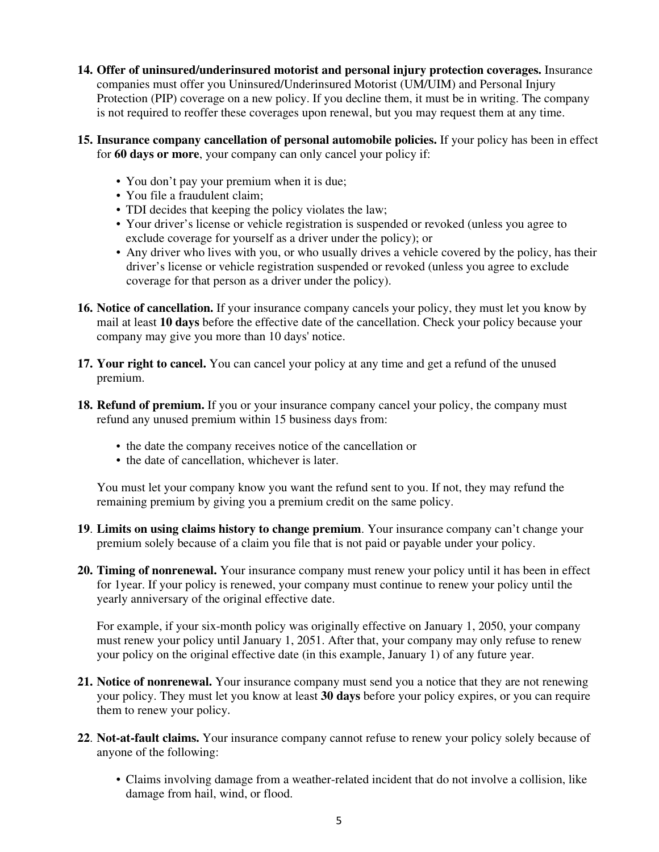- **14. Offer of uninsured/underinsured motorist and personal injury protection coverages.** Insurance companies must offer you Uninsured/Underinsured Motorist (UM/UIM) and Personal Injury Protection (PIP) coverage on a new policy. If you decline them, it must be in writing. The company is not required to reoffer these coverages upon renewal, but you may request them at any time.
- **15. Insurance company cancellation of personal automobile policies.** If your policy has been in effect for **60 days or more**, your company can only cancel your policy if:
	- You don't pay your premium when it is due;
	- You file a fraudulent claim;
	- TDI decides that keeping the policy violates the law;
	- Your driver's license or vehicle registration is suspended or revoked (unless you agree to exclude coverage for yourself as a driver under the policy); or
	- Any driver who lives with you, or who usually drives a vehicle covered by the policy, has their driver's license or vehicle registration suspended or revoked (unless you agree to exclude coverage for that person as a driver under the policy).
- **16. Notice of cancellation.** If your insurance company cancels your policy, they must let you know by mail at least **10 days** before the effective date of the cancellation. Check your policy because your company may give you more than 10 days' notice.
- **17. Your right to cancel.** You can cancel your policy at any time and get a refund of the unused premium.
- **18. Refund of premium.** If you or your insurance company cancel your policy, the company must refund any unused premium within 15 business days from:
	- the date the company receives notice of the cancellation or
	- the date of cancellation, whichever is later.

You must let your company know you want the refund sent to you. If not, they may refund the remaining premium by giving you a premium credit on the same policy.

- **19**. **Limits on using claims history to change premium**. Your insurance company can't change your premium solely because of a claim you file that is not paid or payable under your policy.
- **20. Timing of nonrenewal.** Your insurance company must renew your policy until it has been in effect for 1year. If your policy is renewed, your company must continue to renew your policy until the yearly anniversary of the original effective date.

For example, if your six-month policy was originally effective on January 1, 2050, your company must renew your policy until January 1, 2051. After that, your company may only refuse to renew your policy on the original effective date (in this example, January 1) of any future year.

- **21. Notice of nonrenewal.** Your insurance company must send you a notice that they are not renewing your policy. They must let you know at least **30 days** before your policy expires, or you can require them to renew your policy.
- **22**. **Not-at-fault claims.** Your insurance company cannot refuse to renew your policy solely because of anyone of the following:
	- Claims involving damage from a weather-related incident that do not involve a collision, like damage from hail, wind, or flood.